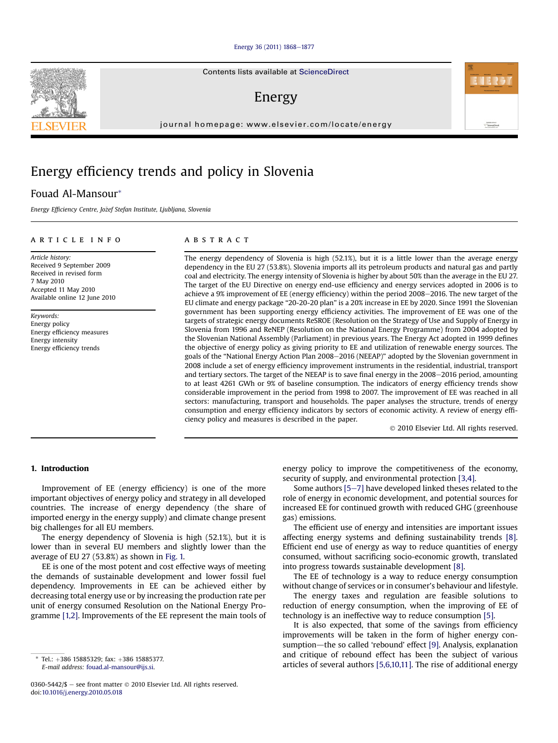#### [Energy 36 \(2011\) 1868](http://dx.doi.org/10.1016/j.energy.2010.05.018)-[1877](http://dx.doi.org/10.1016/j.energy.2010.05.018)

Contents lists available at ScienceDirect

### Energy

journal homepage: [www.elsevier.com/locate/energy](http://www.elsevier.com/locate/energy)

## Energy efficiency trends and policy in Slovenia

### Fouad Al-Mansour\*

Energy Efficiency Centre, Jožef Stefan Institute, Ljubljana, Slovenia

#### article info

Article history: Received 9 September 2009 Received in revised form 7 May 2010 Accepted 11 May 2010 Available online 12 June 2010

Keywords: Energy policy Energy efficiency measures Energy intensity Energy efficiency trends

#### **ABSTRACT**

The energy dependency of Slovenia is high (52.1%), but it is a little lower than the average energy dependency in the EU 27 (53.8%). Slovenia imports all its petroleum products and natural gas and partly coal and electricity. The energy intensity of Slovenia is higher by about 50% than the average in the EU 27. The target of the EU Directive on energy end-use efficiency and energy services adopted in 2006 is to achieve a 9% improvement of EE (energy efficiency) within the period 2008–2016. The new target of the EU climate and energy package "20-20-20 plan" is a 20% increase in EE by 2020. Since 1991 the Slovenian government has been supporting energy efficiency activities. The improvement of EE was one of the targets of strategic energy documents ReSROE (Resolution on the Strategy of Use and Supply of Energy in Slovenia from 1996 and ReNEP (Resolution on the National Energy Programme) from 2004 adopted by the Slovenian National Assembly (Parliament) in previous years. The Energy Act adopted in 1999 defines the objective of energy policy as giving priority to EE and utilization of renewable energy sources. The goals of the "National Energy Action Plan 2008-2016 (NEEAP)" adopted by the Slovenian government in 2008 include a set of energy efficiency improvement instruments in the residential, industrial, transport and tertiary sectors. The target of the NEEAP is to save final energy in the 2008-2016 period, amounting to at least 4261 GWh or 9% of baseline consumption. The indicators of energy efficiency trends show considerable improvement in the period from 1998 to 2007. The improvement of EE was reached in all sectors: manufacturing, transport and households. The paper analyses the structure, trends of energy consumption and energy efficiency indicators by sectors of economic activity. A review of energy efficiency policy and measures is described in the paper.

2010 Elsevier Ltd. All rights reserved.

#### 1. Introduction

Improvement of EE (energy efficiency) is one of the more important objectives of energy policy and strategy in all developed countries. The increase of energy dependency (the share of imported energy in the energy supply) and climate change present big challenges for all EU members.

The energy dependency of Slovenia is high (52.1%), but it is lower than in several EU members and slightly lower than the average of EU 27 (53.8%) as shown in Fig. 1.

EE is one of the most potent and cost effective ways of meeting the demands of sustainable development and lower fossil fuel dependency. Improvements in EE can be achieved either by decreasing total energy use or by increasing the production rate per unit of energy consumed Resolution on the National Energy Programme [1,2]. Improvements of the EE represent the main tools of

0360-5442/\$ - see front matter  $\odot$  2010 Elsevier Ltd. All rights reserved. doi:[10.1016/j.energy.2010.05.018](http://dx.doi.org/10.1016/j.energy.2010.05.018)

energy policy to improve the competitiveness of the economy, security of supply, and environmental protection [3,4].

Some authors  $[5-7]$  have developed linked theses related to the role of energy in economic development, and potential sources for increased EE for continued growth with reduced GHG (greenhouse gas) emissions.

The efficient use of energy and intensities are important issues affecting energy systems and defining sustainability trends [8]. Efficient end use of energy as way to reduce quantities of energy consumed, without sacrificing socio-economic growth, translated into progress towards sustainable development [8].

The EE of technology is a way to reduce energy consumption without change of services or in consumer's behaviour and lifestyle.

The energy taxes and regulation are feasible solutions to reduction of energy consumption, when the improving of EE of technology is an ineffective way to reduce consumption [5].

It is also expected, that some of the savings from efficiency improvements will be taken in the form of higher energy consumption-the so called 'rebound' effect [9]. Analysis, explanation and critique of rebound effect has been the subject of various and critique of rebound enect has been the subject of various<br>
F-mail address: fouad al-mansour@its si





E-mail address: [fouad.al-mansour@ijs.si.](mailto:fouad.al-mansour@ijs.si)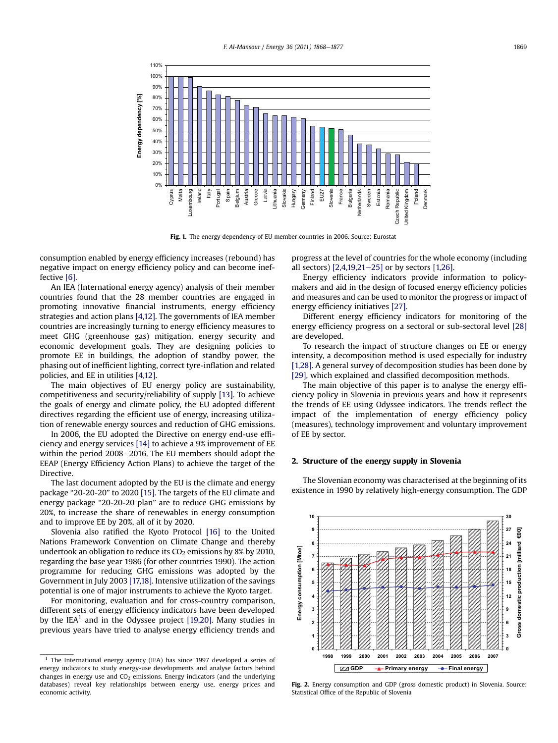

Fig. 1. The energy dependency of EU member countries in 2006. Source: Eurostat

consumption enabled by energy efficiency increases (rebound) has negative impact on energy efficiency policy and can become ineffective [6].

An IEA (International energy agency) analysis of their member countries found that the 28 member countries are engaged in promoting innovative financial instruments, energy efficiency strategies and action plans [4,12]. The governments of IEA member countries are increasingly turning to energy efficiency measures to meet GHG (greenhouse gas) mitigation, energy security and economic development goals. They are designing policies to promote EE in buildings, the adoption of standby power, the phasing out of inefficient lighting, correct tyre-inflation and related policies, and EE in utilities [4,12].

The main objectives of EU energy policy are sustainability, competitiveness and security/reliability of supply [13]. To achieve the goals of energy and climate policy, the EU adopted different directives regarding the efficient use of energy, increasing utilization of renewable energy sources and reduction of GHG emissions.

In 2006, the EU adopted the Directive on energy end-use efficiency and energy services [14] to achieve a 9% improvement of EE within the period 2008-2016. The EU members should adopt the EEAP (Energy Efficiency Action Plans) to achieve the target of the Directive.

The last document adopted by the EU is the climate and energy package "20-20-20" to 2020 [15]. The targets of the EU climate and energy package "20-20-20 plan" are to reduce GHG emissions by 20%, to increase the share of renewables in energy consumption and to improve EE by 20%, all of it by 2020.

Slovenia also ratified the Kyoto Protocol [16] to the United Nations Framework Convention on Climate Change and thereby undertook an obligation to reduce its  $CO<sub>2</sub>$  emissions by 8% by 2010, regarding the base year 1986 (for other countries 1990). The action programme for reducing GHG emissions was adopted by the Government in July 2003 [17,18]. Intensive utilization of the savings potential is one of major instruments to achieve the Kyoto target.

For monitoring, evaluation and for cross-country comparison, different sets of energy efficiency indicators have been developed by the IEA<sup>1</sup> and in the Odyssee project [19,20]. Many studies in previous years have tried to analyse energy efficiency trends and progress at the level of countries for the whole economy (including all sectors)  $[2,4,19,21-25]$  or by sectors  $[1,26]$ .

Energy efficiency indicators provide information to policymakers and aid in the design of focused energy efficiency policies and measures and can be used to monitor the progress or impact of energy efficiency initiatives [27].

Different energy efficiency indicators for monitoring of the energy efficiency progress on a sectoral or sub-sectoral level [28] are developed.

To research the impact of structure changes on EE or energy intensity, a decomposition method is used especially for industry [1,28]. A general survey of decomposition studies has been done by [29], which explained and classified decomposition methods.

The main objective of this paper is to analyse the energy efficiency policy in Slovenia in previous years and how it represents the trends of EE using Odyssee indicators. The trends reflect the impact of the implementation of energy efficiency policy (measures), technology improvement and voluntary improvement of EE by sector.

#### 2. Structure of the energy supply in Slovenia

The Slovenian economy was characterised at the beginning of its existence in 1990 by relatively high-energy consumption. The GDP



Fig. 2. Energy consumption and GDP (gross domestic product) in Slovenia. Source: Statistical Office of the Republic of Slovenia

 $1$  The International energy agency (IEA) has since 1997 developed a series of energy indicators to study energy-use developments and analyse factors behind changes in energy use and  $CO<sub>2</sub>$  emissions. Energy indicators (and the underlying databases) reveal key relationships between energy use, energy prices and economic activity.